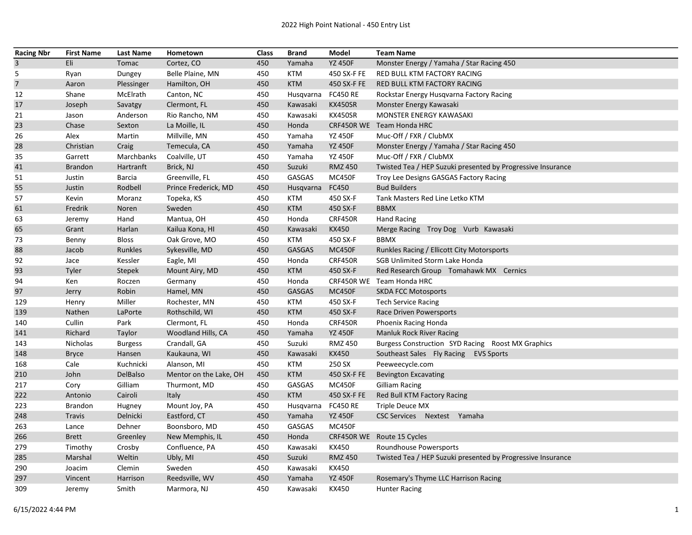| <b>Racing Nbr</b> | <b>First Name</b> | <b>Last Name</b> | Hometown               | Class | <b>Brand</b>       | Model           | <b>Team Name</b>                                            |
|-------------------|-------------------|------------------|------------------------|-------|--------------------|-----------------|-------------------------------------------------------------|
| $\overline{3}$    | Eli               | Tomac            | Cortez, CO             | 450   | Yamaha             | <b>YZ 450F</b>  | Monster Energy / Yamaha / Star Racing 450                   |
| 5                 | Ryan              | Dungey           | Belle Plaine, MN       | 450   | <b>KTM</b>         | 450 SX-F FE     | RED BULL KTM FACTORY RACING                                 |
| $\overline{7}$    | Aaron             | Plessinger       | Hamilton, OH           | 450   | <b>KTM</b>         | 450 SX-F FE     | RED BULL KTM FACTORY RACING                                 |
| 12                | Shane             | McElrath         | Canton, NC             | 450   | Husqvarna          | <b>FC450 RE</b> | Rockstar Energy Husqvarna Factory Racing                    |
| 17                | Joseph            | Savatgy          | Clermont, FL           | 450   | Kawasaki           | KX450SR         | Monster Energy Kawasaki                                     |
| 21                | Jason             | Anderson         | Rio Rancho, NM         | 450   | Kawasaki           | KX450SR         | MONSTER ENERGY KAWASAKI                                     |
| 23                | Chase             | Sexton           | La Moille, IL          | 450   | Honda              | CRF450R WE      | Team Honda HRC                                              |
| 26                | Alex              | Martin           | Millville, MN          | 450   | Yamaha             | <b>YZ 450F</b>  | Muc-Off / FXR / ClubMX                                      |
| 28                | Christian         | Craig            | Temecula, CA           | 450   | Yamaha             | <b>YZ 450F</b>  | Monster Energy / Yamaha / Star Racing 450                   |
| 35                | Garrett           | Marchbanks       | Coalville, UT          | 450   | Yamaha             | <b>YZ 450F</b>  | Muc-Off / FXR / ClubMX                                      |
| 41                | <b>Brandon</b>    | Hartranft        | Brick, NJ              | 450   | Suzuki             | <b>RMZ 450</b>  | Twisted Tea / HEP Suzuki presented by Progressive Insurance |
| 51                | Justin            | Barcia           | Greenville, FL         | 450   | <b>GASGAS</b>      | <b>MC450F</b>   | Troy Lee Designs GASGAS Factory Racing                      |
| 55                | Justin            | Rodbell          | Prince Frederick, MD   | 450   | Husqvarna          | FC450           | <b>Bud Builders</b>                                         |
| 57                | Kevin             | Moranz           | Topeka, KS             | 450   | KTM                | 450 SX-F        | Tank Masters Red Line Letko KTM                             |
| 61                | Fredrik           | Noren            | Sweden                 | 450   | <b>KTM</b>         | 450 SX-F        | <b>BBMX</b>                                                 |
| 63                | Jeremy            | Hand             | Mantua, OH             | 450   | Honda              | CRF450R         | <b>Hand Racing</b>                                          |
| 65                | Grant             | Harlan           | Kailua Kona, HI        | 450   | Kawasaki           | <b>KX450</b>    | Merge Racing Troy Dog Vurb Kawasaki                         |
| 73                | Benny             | <b>Bloss</b>     | Oak Grove, MO          | 450   | KTM                | 450 SX-F        | <b>BBMX</b>                                                 |
| 88                | Jacob             | Runkles          | Sykesville, MD         | 450   | <b>GASGAS</b>      | <b>MC450F</b>   | Runkles Racing / Ellicott City Motorsports                  |
| 92                | Jace              | Kessler          | Eagle, MI              | 450   | Honda              | CRF450R         | <b>SGB Unlimited Storm Lake Honda</b>                       |
| 93                | Tyler             | Stepek           | Mount Airy, MD         | 450   | <b>KTM</b>         | 450 SX-F        | Red Research Group Tomahawk MX Cernics                      |
| 94                | Ken               | Roczen           | Germany                | 450   | Honda              |                 | CRF450R WE Team Honda HRC                                   |
| 97                | Jerry             | Robin            | Hamel, MN              | 450   | <b>GASGAS</b>      | MC450F          | <b>SKDA FCC Motosports</b>                                  |
| 129               | Henry             | Miller           | Rochester, MN          | 450   | KTM                | 450 SX-F        | <b>Tech Service Racing</b>                                  |
| 139               | Nathen            | LaPorte          | Rothschild, WI         | 450   | <b>KTM</b>         | 450 SX-F        | Race Driven Powersports                                     |
| 140               | Cullin            | Park             | Clermont, FL           | 450   | Honda              | CRF450R         | Phoenix Racing Honda                                        |
| 141               | Richard           | Taylor           | Woodland Hills, CA     | 450   | Yamaha             | <b>YZ 450F</b>  | <b>Manluk Rock River Racing</b>                             |
| 143               | Nicholas          | <b>Burgess</b>   | Crandall, GA           | 450   | Suzuki             | <b>RMZ 450</b>  | Burgess Construction SYD Racing Roost MX Graphics           |
| 148               | <b>Bryce</b>      | Hansen           | Kaukauna, WI           | 450   | Kawasaki           | <b>KX450</b>    | Southeast Sales Fly Racing EVS Sports                       |
| 168               | Cale              | Kuchnicki        | Alanson, MI            | 450   | <b>KTM</b>         | 250 SX          | Peeweecycle.com                                             |
| 210               | John              | DelBalso         | Mentor on the Lake, OH | 450   | <b>KTM</b>         | 450 SX-F FE     | <b>Bevington Excavating</b>                                 |
| 217               | Cory              | Gilliam          | Thurmont, MD           | 450   | GASGAS             | MC450F          | Gilliam Racing                                              |
| 222               | Antonio           | Cairoli          | Italy                  | 450   | <b>KTM</b>         | 450 SX-F FE     | Red Bull KTM Factory Racing                                 |
| 223               | <b>Brandon</b>    | Hugney           | Mount Joy, PA          | 450   | Husqvarna FC450 RE |                 | <b>Triple Deuce MX</b>                                      |
| 248               | Travis            | Delnicki         | Eastford, CT           | 450   | Yamaha             | <b>YZ 450F</b>  | CSC Services Nextest Yamaha                                 |
| 263               | Lance             | Dehner           | Boonsboro, MD          | 450   | GASGAS             | <b>MC450F</b>   |                                                             |
| 266               | <b>Brett</b>      | Greenley         | New Memphis, IL        | 450   | Honda              |                 | CRF450R WE Route 15 Cycles                                  |
| 279               | Timothy           | Crosby           | Confluence, PA         | 450   | Kawasaki           | KX450           | Roundhouse Powersports                                      |
| 285               | Marshal           | Weltin           | Ubly, MI               | 450   | Suzuki             | <b>RMZ 450</b>  | Twisted Tea / HEP Suzuki presented by Progressive Insurance |
| 290               | Joacim            | Clemin           | Sweden                 | 450   | Kawasaki           | KX450           |                                                             |
| 297               | Vincent           | Harrison         | Reedsville, WV         | 450   | Yamaha             | <b>YZ 450F</b>  | Rosemary's Thyme LLC Harrison Racing                        |
| 309               | Jeremy            | Smith            | Marmora, NJ            | 450   | Kawasaki           | KX450           | <b>Hunter Racing</b>                                        |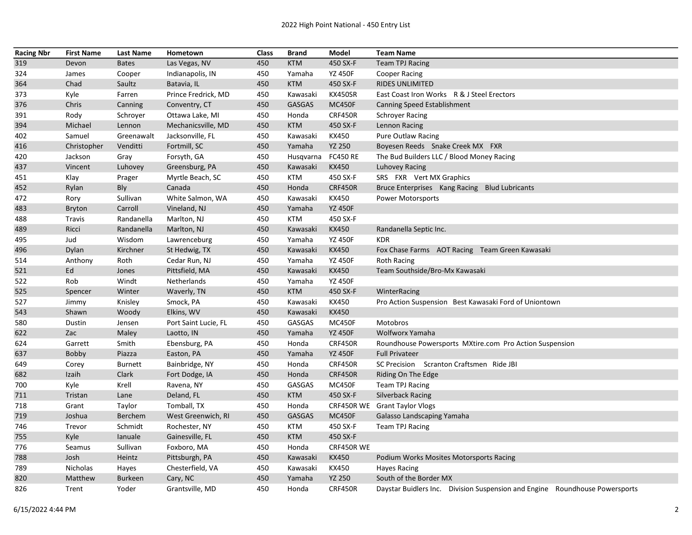| <b>Racing Nbr</b> | <b>First Name</b> | <b>Last Name</b> | Hometown             | Class | <b>Brand</b>  | Model           | <b>Team Name</b>                                                            |
|-------------------|-------------------|------------------|----------------------|-------|---------------|-----------------|-----------------------------------------------------------------------------|
| 319               | Devon             | <b>Bates</b>     | Las Vegas, NV        | 450   | <b>KTM</b>    | 450 SX-F        | <b>Team TPJ Racing</b>                                                      |
| 324               | James             | Cooper           | Indianapolis, IN     | 450   | Yamaha        | <b>YZ 450F</b>  | <b>Cooper Racing</b>                                                        |
| 364               | Chad              | Saultz           | Batavia, IL          | 450   | <b>KTM</b>    | 450 SX-F        | <b>RIDES UNLIMITED</b>                                                      |
| 373               | Kyle              | Farren           | Prince Fredrick, MD  | 450   | Kawasaki      | KX450SR         | East Coast Iron Works R & J Steel Erectors                                  |
| 376               | Chris             | Canning          | Conventry, CT        | 450   | <b>GASGAS</b> | <b>MC450F</b>   | Canning Speed Establishment                                                 |
| 391               | Rody              | Schroyer         | Ottawa Lake, MI      | 450   | Honda         | <b>CRF450R</b>  | <b>Schroyer Racing</b>                                                      |
| 394               | Michael           | Lennon           | Mechanicsville, MD   | 450   | <b>KTM</b>    | 450 SX-F        | Lennon Racing                                                               |
| 402               | Samuel            | Greenawalt       | Jacksonville, FL     | 450   | Kawasaki      | KX450           | <b>Pure Outlaw Racing</b>                                                   |
| 416               | Christopher       | Venditti         | Fortmill, SC         | 450   | Yamaha        | <b>YZ 250</b>   | Boyesen Reeds Snake Creek MX FXR                                            |
| 420               | Jackson           | Gray             | Forsyth, GA          | 450   | Husqvarna     | <b>FC450 RE</b> | The Bud Builders LLC / Blood Money Racing                                   |
| 437               | Vincent           | Luhovey          | Greensburg, PA       | 450   | Kawasaki      | KX450           | Luhovey Racing                                                              |
| 451               | Klay              | Prager           | Myrtle Beach, SC     | 450   | KTM           | 450 SX-F        | SRS FXR Vert MX Graphics                                                    |
| 452               | Rylan             | Bly              | Canada               | 450   | Honda         | CRF450R         | Bruce Enterprises Kang Racing Blud Lubricants                               |
| 472               | Rory              | Sullivan         | White Salmon, WA     | 450   | Kawasaki      | KX450           | <b>Power Motorsports</b>                                                    |
| 483               | <b>Bryton</b>     | Carroll          | Vineland, NJ         | 450   | Yamaha        | <b>YZ 450F</b>  |                                                                             |
| 488               | Travis            | Randanella       | Marlton, NJ          | 450   | <b>KTM</b>    | 450 SX-F        |                                                                             |
| 489               | Ricci             | Randanella       | Marlton, NJ          | 450   | Kawasaki      | KX450           | Randanella Septic Inc.                                                      |
| 495               | Jud               | Wisdom           | Lawrenceburg         | 450   | Yamaha        | <b>YZ 450F</b>  | <b>KDR</b>                                                                  |
| 496               | Dylan             | Kirchner         | St Hedwig, TX        | 450   | Kawasaki      | <b>KX450</b>    | Fox Chase Farms AOT Racing Team Green Kawasaki                              |
| 514               | Anthony           | Roth             | Cedar Run, NJ        | 450   | Yamaha        | <b>YZ 450F</b>  | <b>Roth Racing</b>                                                          |
| 521               | Ed                | Jones            | Pittsfield, MA       | 450   | Kawasaki      | KX450           | Team Southside/Bro-Mx Kawasaki                                              |
| 522               | Rob               | Windt            | Netherlands          | 450   | Yamaha        | <b>YZ 450F</b>  |                                                                             |
| 525               | Spencer           | Winter           | Waverly, TN          | 450   | <b>KTM</b>    | 450 SX-F        | WinterRacing                                                                |
| 527               | Jimmy             | Knisley          | Smock, PA            | 450   | Kawasaki      | KX450           | Pro Action Suspension Best Kawasaki Ford of Uniontown                       |
| 543               | Shawn             | Woody            | Elkins, WV           | 450   | Kawasaki      | KX450           |                                                                             |
| 580               | Dustin            | Jensen           | Port Saint Lucie, FL | 450   | GASGAS        | MC450F          | Motobros                                                                    |
| 622               | Zac               | Maley            | Laotto, IN           | 450   | Yamaha        | <b>YZ 450F</b>  | Wolfworx Yamaha                                                             |
| 624               | Garrett           | Smith            | Ebensburg, PA        | 450   | Honda         | <b>CRF450R</b>  | Roundhouse Powersports MXtire.com Pro Action Suspension                     |
| 637               | Bobby             | Piazza           | Easton, PA           | 450   | Yamaha        | <b>YZ 450F</b>  | <b>Full Privateer</b>                                                       |
| 649               | Corey             | <b>Burnett</b>   | Bainbridge, NY       | 450   | Honda         | CRF450R         | SC Precision Scranton Craftsmen Ride JBI                                    |
| 682               | Izaih             | Clark            | Fort Dodge, IA       | 450   | Honda         | CRF450R         | Riding On The Edge                                                          |
| 700               | Kyle              | Krell            | Ravena, NY           | 450   | <b>GASGAS</b> | MC450F          | <b>Team TPJ Racing</b>                                                      |
| 711               | Tristan           | Lane             | Deland, FL           | 450   | <b>KTM</b>    | 450 SX-F        | <b>Silverback Racing</b>                                                    |
| 718               | Grant             | Taylor           | Tomball, TX          | 450   | Honda         |                 | CRF450R WE Grant Taylor Vlogs                                               |
| 719               | Joshua            | Berchem          | West Greenwich, RI   | 450   | <b>GASGAS</b> | <b>MC450F</b>   | Galasso Landscaping Yamaha                                                  |
| 746               | Trevor            | Schmidt          | Rochester, NY        | 450   | <b>KTM</b>    | 450 SX-F        | <b>Team TPJ Racing</b>                                                      |
| 755               | Kyle              | lanuale          | Gainesville, FL      | 450   | <b>KTM</b>    | 450 SX-F        |                                                                             |
| 776               | Seamus            | Sullivan         | Foxboro, MA          | 450   | Honda         | CRF450R WE      |                                                                             |
| 788               | Josh              | Heintz           | Pittsburgh, PA       | 450   | Kawasaki      | <b>KX450</b>    | Podium Works Mosites Motorsports Racing                                     |
| 789               | Nicholas          | Hayes            | Chesterfield, VA     | 450   | Kawasaki      | KX450           | <b>Hayes Racing</b>                                                         |
| 820               | Matthew           | <b>Burkeen</b>   | Cary, NC             | 450   | Yamaha        | <b>YZ 250</b>   | South of the Border MX                                                      |
| 826               | Trent             | Yoder            | Grantsville, MD      | 450   | Honda         | <b>CRF450R</b>  | Daystar Buidlers Inc. Division Suspension and Engine Roundhouse Powersports |